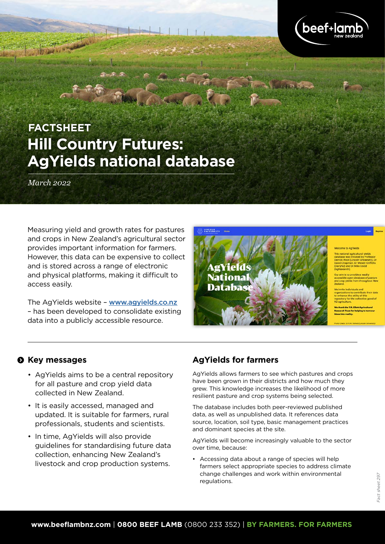

# **Hill Country Futures: AgYields national database FACTSHEET**

*March 2022*

Measuring yield and growth rates for pastures and crops in New Zealand's agricultural sector provides important information for farmers. However, this data can be expensive to collect and is stored across a range of electronic and physical platforms, making it difficult to access easily.

The AgYields website – [www.agyields.co.nz](http://www.agyields.co.nz) – has been developed to consolidate existing data into a publicly accessible resource.



### $\odot$  Key messages

- AgYields aims to be a central repository for all pasture and crop yield data collected in New Zealand.
- It is easily accessed, managed and updated. It is suitable for farmers, rural professionals, students and scientists.
- In time, AgYields will also provide guidelines for standardising future data collection, enhancing New Zealand's livestock and crop production systems.

#### **AgYields for farmers**

AgYields allows farmers to see which pastures and crops have been grown in their districts and how much they grew. This knowledge increases the likelihood of more resilient pasture and crop systems being selected.

The database includes both peer-reviewed published data, as well as unpublished data. It references data source, location, soil type, basic management practices and dominant species at the site.

AgYields will become increasingly valuable to the sector over time, because:

• Accessing data about a range of species will help farmers select appropriate species to address climate change challenges and work within environmental regulations.